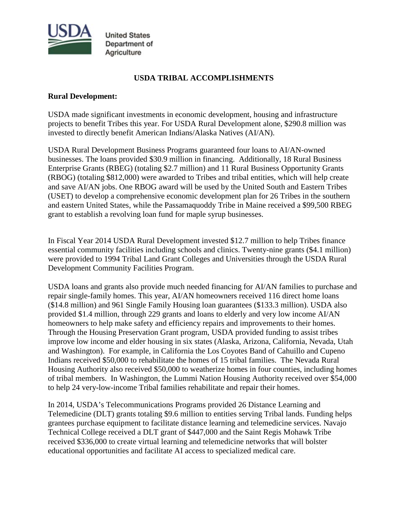

**United States** Department of Agriculture

## **USDA TRIBAL ACCOMPLISHMENTS**

#### **Rural Development:**

USDA made significant investments in economic development, housing and infrastructure projects to benefit Tribes this year. For USDA Rural Development alone, \$290.8 million was invested to directly benefit American Indians/Alaska Natives (AI/AN).

USDA Rural Development Business Programs guaranteed four loans to AI/AN-owned businesses. The loans provided \$30.9 million in financing. Additionally, 18 Rural Business Enterprise Grants (RBEG) (totaling \$2.7 million) and 11 Rural Business Opportunity Grants (RBOG) (totaling \$812,000) were awarded to Tribes and tribal entities, which will help create and save AI/AN jobs. One RBOG award will be used by the United South and Eastern Tribes (USET) to develop a comprehensive economic development plan for 26 Tribes in the southern and eastern United States, while the Passamaquoddy Tribe in Maine received a \$99,500 RBEG grant to establish a revolving loan fund for maple syrup businesses.

In Fiscal Year 2014 USDA Rural Development invested \$12.7 million to help Tribes finance essential community facilities including schools and clinics. Twenty-nine grants (\$4.1 million) were provided to 1994 Tribal Land Grant Colleges and Universities through the USDA Rural Development Community Facilities Program.

USDA loans and grants also provide much needed financing for AI/AN families to purchase and repair single-family homes. This year, AI/AN homeowners received 116 direct home loans (\$14.8 million) and 961 Single Family Housing loan guarantees (\$133.3 million). USDA also provided \$1.4 million, through 229 grants and loans to elderly and very low income AI/AN homeowners to help make safety and efficiency repairs and improvements to their homes. Through the Housing Preservation Grant program, USDA provided funding to assist tribes improve low income and elder housing in six states (Alaska, Arizona, California, Nevada, Utah and Washington). For example, in California the Los Coyotes Band of Cahuillo and Cupeno Indians received \$50,000 to rehabilitate the homes of 15 tribal families. The Nevada Rural Housing Authority also received \$50,000 to weatherize homes in four counties, including homes of tribal members. In Washington, the Lummi Nation Housing Authority received over \$54,000 to help 24 very-low-income Tribal families rehabilitate and repair their homes.

In 2014, USDA's Telecommunications Programs provided 26 Distance Learning and Telemedicine (DLT) grants totaling \$9.6 million to entities serving Tribal lands. Funding helps grantees purchase equipment to facilitate distance learning and telemedicine services. Navajo Technical College received a DLT grant of \$447,000 and the Saint Regis Mohawk Tribe received \$336,000 to create virtual learning and telemedicine networks that will bolster educational opportunities and facilitate AI access to specialized medical care.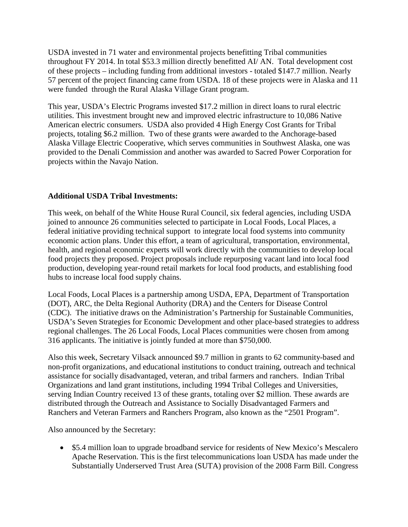USDA invested in 71 water and environmental projects benefitting Tribal communities throughout FY 2014. In total \$53.3 million directly benefitted AI/ AN. Total development cost of these projects – including funding from additional investors - totaled \$147.7 million. Nearly 57 percent of the project financing came from USDA. 18 of these projects were in Alaska and 11 were funded through the Rural Alaska Village Grant program.

This year, USDA's Electric Programs invested \$17.2 million in direct loans to rural electric utilities. This investment brought new and improved electric infrastructure to 10,086 Native American electric consumers. USDA also provided 4 High Energy Cost Grants for Tribal projects, totaling \$6.2 million. Two of these grants were awarded to the Anchorage-based Alaska Village Electric Cooperative, which serves communities in Southwest Alaska, one was provided to the Denali Commission and another was awarded to Sacred Power Corporation for projects within the Navajo Nation.

# **Additional USDA Tribal Investments:**

This week, on behalf of the White House Rural Council, six federal agencies, including USDA joined to announce 26 communities selected to participate in [Local Foods, Local Places,](http://www.whitehouse.gov/sites/default/files/docs/announcement_-_local_foods_local_places_2014_final.pdf) a federal initiative providing technical support to integrate local food systems into community economic action plans. Under this effort, a team of agricultural, transportation, environmental, health, and regional economic experts will work directly with the communities to develop local food projects they proposed. Project proposals include repurposing vacant land into local food production, developing year-round retail markets for local food products, and establishing food hubs to increase local food supply chains.

Local Foods, Local Places is a partnership among USDA, EPA, Department of Transportation (DOT), ARC, the Delta Regional Authority (DRA) and the Centers for Disease Control (CDC). The initiative draws on the Administration's [Partnership for Sustainable Communities,](http://www.sustainablecommunities.gov/) USDA's [Seven Strategies for Economic Development](http://www.rurdev.usda.gov/RD_EconomicDevelopment.html) and other place-based strategies to address regional challenges. The 26 Local Foods, Local Places communities were chosen from among 316 applicants. The initiative is jointly funded at more than \$750,000.

Also this week, Secretary Vilsack announced \$9.7 million in grants to 62 community-based and non-profit organizations, and educational institutions to conduct training, outreach and technical assistance for socially disadvantaged, veteran, and tribal farmers and ranchers. Indian Tribal Organizations and land grant institutions, including 1994 Tribal Colleges and Universities, serving Indian Country received 13 of these grants, totaling over \$2 million. These awards are distributed through the Outreach and Assistance to Socially Disadvantaged Farmers and Ranchers and Veteran Farmers and Ranchers Program, also known as the ["2501 Program".](http://www.outreach.usda.gov/grants/)

Also announced by the Secretary:

• \$5.4 million loan to upgrade broadband service for residents of New Mexico's Mescalero Apache Reservation. This is the first telecommunications loan USDA has made under the [Substantially Underserved Trust Area \(SUTA\)](http://www.rurdev.usda.gov/suta.html) provision of the 2008 Farm Bill. Congress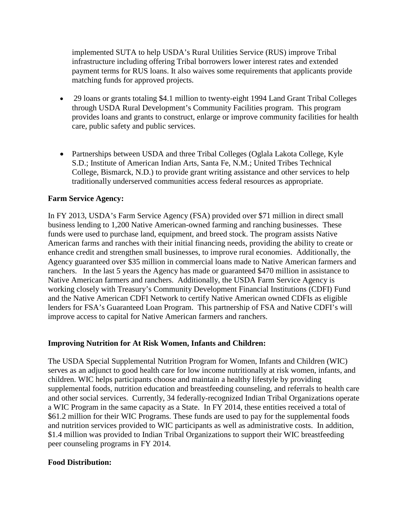implemented SUTA to help USDA's Rural Utilities Service (RUS) improve Tribal infrastructure including offering Tribal borrowers lower interest rates and extended payment terms for RUS loans. It also waives some requirements that applicants provide matching funds for approved projects.

- 29 loans or grants totaling \$4.1 million to twenty-eight 1994 Land Grant Tribal Colleges through [USDA Rural Development's Community Facilities program.](http://www.rurdev.usda.gov/HAD-CF_Loans.html) This program provides loans and grants to construct, enlarge or improve community facilities for health care, public safety and public services.
- Partnerships between USDA and three Tribal Colleges (Oglala Lakota College, Kyle S.D.; Institute of American Indian Arts, Santa Fe, N.M.; United Tribes Technical College, Bismarck, N.D.) to provide grant writing assistance and other services to help traditionally underserved communities access federal resources as appropriate.

## **Farm Service Agency:**

In FY 2013, USDA's Farm Service Agency (FSA) provided over \$71 million in direct small business lending to 1,200 Native American-owned farming and ranching businesses. These funds were used to purchase land, equipment, and breed stock. The program assists Native American farms and ranches with their initial financing needs, providing the ability to create or enhance credit and strengthen small businesses, to improve rural economies. Additionally, the Agency guaranteed over \$35 million in commercial loans made to Native American farmers and ranchers. In the last 5 years the Agency has made or guaranteed \$470 million in assistance to Native American farmers and ranchers. Additionally, the USDA Farm Service Agency is working closely with Treasury's Community Development Financial Institutions (CDFI) Fund and the Native American CDFI Network to certify Native American owned CDFIs as eligible lenders for FSA's Guaranteed Loan Program. This partnership of FSA and Native CDFI's will improve access to capital for Native American farmers and ranchers.

# **Improving Nutrition for At Risk Women, Infants and Children:**

The USDA Special Supplemental Nutrition Program for Women, Infants and Children (WIC) serves as an adjunct to good health care for low income nutritionally at risk women, infants, and children. WIC helps participants choose and maintain a healthy lifestyle by providing supplemental foods, nutrition education and breastfeeding counseling, and referrals to health care and other social services. Currently, 34 federally-recognized Indian Tribal Organizations operate a WIC Program in the same capacity as a State. In FY 2014, these entities received a total of \$61.2 million for their WIC Programs. These funds are used to pay for the supplemental foods and nutrition services provided to WIC participants as well as administrative costs. In addition, \$1.4 million was provided to Indian Tribal Organizations to support their WIC breastfeeding peer counseling programs in FY 2014.

#### **Food Distribution:**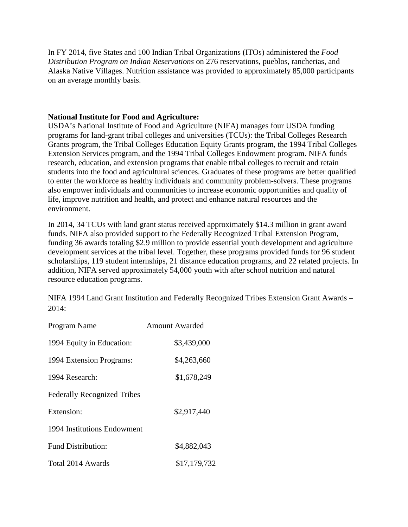In FY 2014, five States and 100 Indian Tribal Organizations (ITOs) administered the *Food Distribution Program on Indian Reservations* on 276 reservations, pueblos, rancherias, and Alaska Native Villages. Nutrition assistance was provided to approximately 85,000 participants on an average monthly basis.

## **National Institute for Food and Agriculture:**

USDA's National Institute of Food and Agriculture (NIFA) manages four USDA funding programs for land-grant tribal colleges and universities (TCUs): the Tribal Colleges Research Grants program, the Tribal Colleges Education Equity Grants program, the 1994 Tribal Colleges Extension Services program, and the 1994 Tribal Colleges Endowment program. NIFA funds research, education, and extension programs that enable tribal colleges to recruit and retain students into the food and agricultural sciences. Graduates of these programs are better qualified to enter the workforce as healthy individuals and community problem-solvers. These programs also empower individuals and communities to increase economic opportunities and quality of life, improve nutrition and health, and protect and enhance natural resources and the environment.

In 2014, 34 TCUs with land grant status received approximately \$14.3 million in grant award funds. NIFA also provided support to the Federally Recognized Tribal Extension Program, funding 36 awards totaling \$2.9 million to provide essential youth development and agriculture development services at the tribal level. Together, these programs provided funds for 96 student scholarships, 119 student internships, 21 distance education programs, and 22 related projects. In addition, NIFA served approximately 54,000 youth with after school nutrition and natural resource education programs.

NIFA 1994 Land Grant Institution and Federally Recognized Tribes Extension Grant Awards – 2014:

| Program Name                       | Amount Awarded |
|------------------------------------|----------------|
| 1994 Equity in Education:          | \$3,439,000    |
| 1994 Extension Programs:           | \$4,263,660    |
| 1994 Research:                     | \$1,678,249    |
| <b>Federally Recognized Tribes</b> |                |
| Extension:                         | \$2,917,440    |
| 1994 Institutions Endowment        |                |
| <b>Fund Distribution:</b>          | \$4,882,043    |
| Total 2014 Awards                  | \$17,179,732   |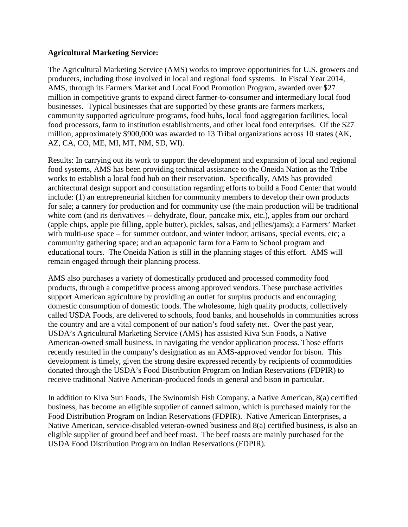## **Agricultural Marketing Service:**

The Agricultural Marketing Service (AMS) works to improve opportunities for U.S. growers and producers, including those involved in local and regional food systems. In Fiscal Year 2014, AMS, through its Farmers Market and Local Food Promotion Program, awarded over \$27 million in competitive grants to expand direct farmer-to-consumer and intermediary local food businesses. Typical businesses that are supported by these grants are farmers markets, community supported agriculture programs, food hubs, local food aggregation facilities, local food processors, farm to institution establishments, and other local food enterprises. Of the \$27 million, approximately \$900,000 was awarded to 13 Tribal organizations across 10 states (AK, AZ, CA, CO, ME, MI, MT, NM, SD, WI).

Results: In carrying out its work to support the development and expansion of local and regional food systems, AMS has been providing technical assistance to the Oneida Nation as the Tribe works to establish a local food hub on their reservation. Specifically, AMS has provided architectural design support and consultation regarding efforts to build a Food Center that would include: (1) an entrepreneurial kitchen for community members to develop their own products for sale; a cannery for production and for community use (the main production will be traditional white corn (and its derivatives -- dehydrate, flour, pancake mix, etc.), apples from our orchard (apple chips, apple pie filling, apple butter), pickles, salsas, and jellies/jams); a Farmers' Market with multi-use space – for summer outdoor, and winter indoor; artisans, special events, etc; a community gathering space; and an aquaponic farm for a Farm to School program and educational tours. The Oneida Nation is still in the planning stages of this effort. AMS will remain engaged through their planning process.

AMS also purchases a variety of domestically produced and processed commodity food products, through a competitive process among approved vendors. These purchase activities support American agriculture by providing an outlet for surplus products and encouraging domestic consumption of domestic foods. The wholesome, high quality products, collectively called USDA Foods, are delivered to schools, food banks, and households in communities across the country and are a vital component of our nation's food safety net. Over the past year, USDA's Agricultural Marketing Service (AMS) has assisted Kiva Sun Foods, a Native American-owned small business, in navigating the vendor application process. Those efforts recently resulted in the company's designation as an AMS-approved vendor for bison. This development is timely, given the strong desire expressed recently by recipients of commodities donated through the USDA's Food Distribution Program on Indian Reservations (FDPIR) to receive traditional Native American-produced foods in general and bison in particular.

In addition to Kiva Sun Foods, The Swinomish Fish Company, a Native American, 8(a) certified business, has become an eligible supplier of canned salmon, which is purchased mainly for the Food Distribution Program on Indian Reservations (FDPIR). Native American Enterprises, a Native American, service-disabled veteran-owned business and 8(a) certified business, is also an eligible supplier of ground beef and beef roast. The beef roasts are mainly purchased for the USDA Food Distribution Program on Indian Reservations (FDPIR).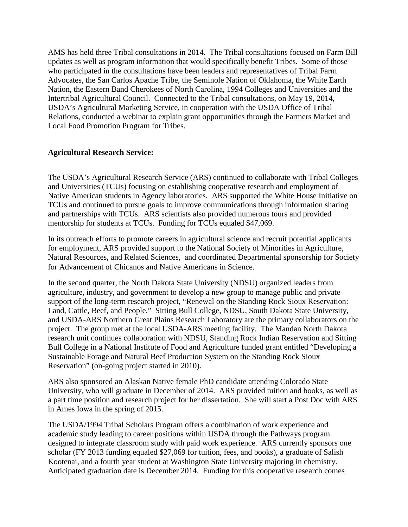AMS has held three Tribal consultations in 2014. The Tribal consultations focused on Farm Bill updates as well as program information that would specifically benefit Tribes. Some of those who participated in the consultations have been leaders and representatives of Tribal Farm Advocates, the San Carlos Apache Tribe, the Seminole Nation of Oklahoma, the White Earth Nation, the Eastern Band Cherokees of North Carolina, 1994 Colleges and Universities and the Intertribal Agricultural Council. Connected to the Tribal consultations, on May 19, 2014, USDA's Agricultural Marketing Service, in cooperation with the USDA Office of Tribal Relations, conducted a webinar to explain grant opportunities through the Farmers Market and Local Food Promotion Program for Tribes.

## **Agricultural Research Service:**

The USDA's Agricultural Research Service (ARS) continued to collaborate with Tribal Colleges and Universities (TCUs) focusing on establishing cooperative research and employment of Native American students in Agency laboratories. ARS supported the White House Initiative on TCUs and continued to pursue goals to improve communications through information sharing and partnerships with TCUs. ARS scientists also provided numerous tours and provided mentorship for students at TCUs. Funding for TCUs equaled \$47,069.

In its outreach efforts to promote careers in agricultural science and recruit potential applicants for employment, ARS provided support to the National Society of Minorities in Agriculture, Natural Resources, and Related Sciences, and coordinated Departmental sponsorship for Society for Advancement of Chicanos and Native Americans in Science.

In the second quarter, the North Dakota State University (NDSU) organized leaders from agriculture, industry, and government to develop a new group to manage public and private support of the long-term research project, "Renewal on the Standing Rock Sioux Reservation: Land, Cattle, Beef, and People." Sitting Bull College, NDSU, South Dakota State University, and USDA-ARS Northern Great Plains Research Laboratory are the primary collaborators on the project. The group met at the local USDA-ARS meeting facility. The Mandan North Dakota research unit continues collaboration with NDSU, Standing Rock Indian Reservation and Sitting Bull College in a National Institute of Food and Agriculture funded grant entitled "Developing a Sustainable Forage and Natural Beef Production System on the Standing Rock Sioux Reservation" (on-going project started in 2010).

ARS also sponsored an Alaskan Native female PhD candidate attending Colorado State University, who will graduate in December of 2014. ARS provided tuition and books, as well as a part time position and research project for her dissertation. She will start a Post Doc with ARS in Ames Iowa in the spring of 2015.

The USDA/1994 Tribal Scholars Program offers a combination of work experience and academic study leading to career positions within USDA through the Pathways program designed to integrate classroom study with paid work experience. ARS currently sponsors one scholar (FY 2013 funding equaled \$27,069 for tuition, fees, and books), a graduate of Salish Kootenai, and a fourth year student at Washington State University majoring in chemistry. Anticipated graduation date is December 2014. Funding for this cooperative research comes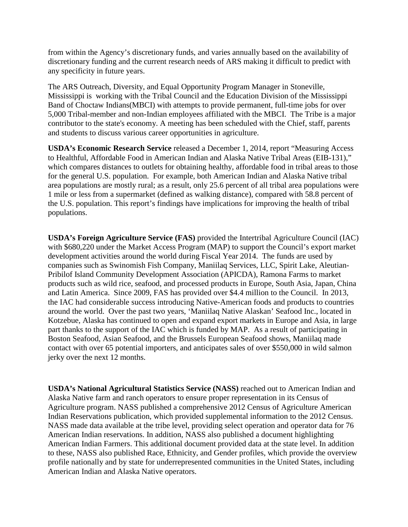from within the Agency's discretionary funds, and varies annually based on the availability of discretionary funding and the current research needs of ARS making it difficult to predict with any specificity in future years.

The ARS Outreach, Diversity, and Equal Opportunity Program Manager in Stoneville, Mississippi is working with the Tribal Council and the Education Division of the Mississippi Band of Choctaw Indians(MBCI) with attempts to provide permanent, full-time jobs for over 5,000 Tribal-member and non-Indian employees affiliated with the MBCI. The Tribe is a major contributor to the state's economy. A meeting has been scheduled with the Chief, staff, parents and students to discuss various career opportunities in agriculture.

**USDA's Economic Research Service** released a December 1, 2014, report "Measuring Access to Healthful, Affordable Food in American Indian and Alaska Native Tribal Areas (EIB-131)," which compares distances to outlets for obtaining healthy, affordable food in tribal areas to those for the general U.S. population. For example, both American Indian and Alaska Native tribal area populations are mostly rural; as a result, only 25.6 percent of all tribal area populations were 1 mile or less from a supermarket (defined as walking distance), compared with 58.8 percent of the U.S. population. This report's findings have implications for improving the health of tribal populations.

**USDA's Foreign Agriculture Service (FAS)** provided the Intertribal Agriculture Council (IAC) with \$680,220 under the Market Access Program (MAP) to support the Council's export market development activities around the world during Fiscal Year 2014. The funds are used by companies such as Swinomish Fish Company, Maniilaq Services, LLC, Spirit Lake, Aleutian-Pribilof Island Community Development Association (APICDA), Ramona Farms to market products such as wild rice, seafood, and processed products in Europe, South Asia, Japan, China and Latin America. Since 2009, FAS has provided over \$4.4 million to the Council. In 2013, the IAC had considerable success introducing Native-American foods and products to countries around the world. Over the past two years, 'Maniilaq Native Alaskan' Seafood Inc., located in Kotzebue, Alaska has continued to open and expand export markets in Europe and Asia, in large part thanks to the support of the IAC which is funded by MAP. As a result of participating in Boston Seafood, Asian Seafood, and the Brussels European Seafood shows, Maniilaq made contact with over 65 potential importers, and anticipates sales of over \$550,000 in wild salmon jerky over the next 12 months.

**USDA's National Agricultural Statistics Service (NASS)** reached out to American Indian and Alaska Native farm and ranch operators to ensure proper representation in its Census of Agriculture program. NASS published a comprehensive 2012 Census of Agriculture American Indian Reservations publication, which provided supplemental information to the 2012 Census. NASS made data available at the tribe level, providing select operation and operator data for 76 American Indian reservations. In addition, NASS also published a [document](http://agcensus.usda.gov/Publications/2012/Online_Resources/Highlights/American_Indian_Farmers/Highlights_American_Indian_Farmers.pdf) highlighting American Indian Farmers. This additional document provided data at the state level. In addition to these, NASS also published Race, Ethnicity, and Gender profiles, which provide the overview profile nationally and by state for underrepresented communities in the United States, including American Indian and Alaska Native operators.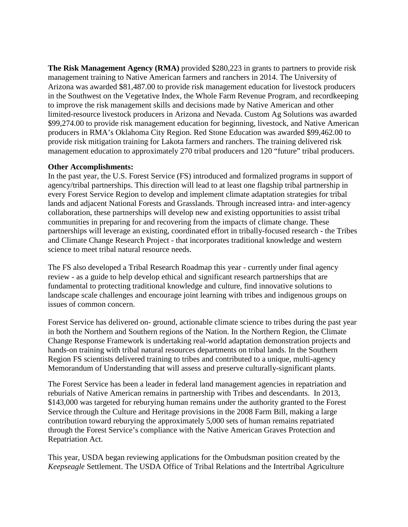**The Risk Management Agency (RMA)** provided \$280,223 in grants to partners to provide risk management training to Native American farmers and ranchers in 2014. The University of Arizona was awarded \$81,487.00 to provide risk management education for livestock producers in the Southwest on the Vegetative Index, the Whole Farm Revenue Program, and recordkeeping to improve the risk management skills and decisions made by Native American and other limited-resource livestock producers in Arizona and Nevada. Custom Ag Solutions was awarded \$99,274.00 to provide risk management education for beginning, livestock, and Native American producers in RMA's Oklahoma City Region. Red Stone Education was awarded \$99,462.00 to provide risk mitigation training for Lakota farmers and ranchers. The training delivered risk management education to approximately 270 tribal producers and 120 "future" tribal producers.

#### **Other Accomplishments:**

In the past year, the U.S. Forest Service (FS) introduced and formalized programs in support of agency/tribal partnerships. This direction will lead to at least one flagship tribal partnership in every Forest Service Region to develop and implement climate adaptation strategies for tribal lands and adjacent National Forests and Grasslands. Through increased intra- and inter-agency collaboration, these partnerships will develop new and existing opportunities to assist tribal communities in preparing for and recovering from the impacts of climate change. These partnerships will leverage an existing, coordinated effort in tribally-focused research - the Tribes and Climate Change Research Project - that incorporates traditional knowledge and western science to meet tribal natural resource needs.

The FS also developed a Tribal Research Roadmap this year - currently under final agency review - as a guide to help develop ethical and significant research partnerships that are fundamental to protecting traditional knowledge and culture, find innovative solutions to landscape scale challenges and encourage joint learning with tribes and indigenous groups on issues of common concern.

Forest Service has delivered on- ground, actionable climate science to tribes during the past year in both the Northern and Southern regions of the Nation. In the Northern Region, the Climate Change Response Framework is undertaking real-world adaptation demonstration projects and hands-on training with tribal natural resources departments on tribal lands. In the Southern Region FS scientists delivered training to tribes and contributed to a unique, multi-agency Memorandum of Understanding that will assess and preserve culturally-significant plants.

The Forest Service has been a leader in federal land management agencies in repatriation and reburials of Native American remains in partnership with Tribes and descendants. In 2013, \$143,000 was targeted for reburying human remains under the authority granted to the Forest Service through the Culture and Heritage provisions in the 2008 Farm Bill, making a large contribution toward reburying the approximately 5,000 sets of human remains repatriated through the Forest Service's compliance with the Native American Graves Protection and Repatriation Act.

This year, USDA began reviewing applications for the Ombudsman position created by the *Keepseagle* Settlement. The USDA Office of Tribal Relations and the Intertribal Agriculture